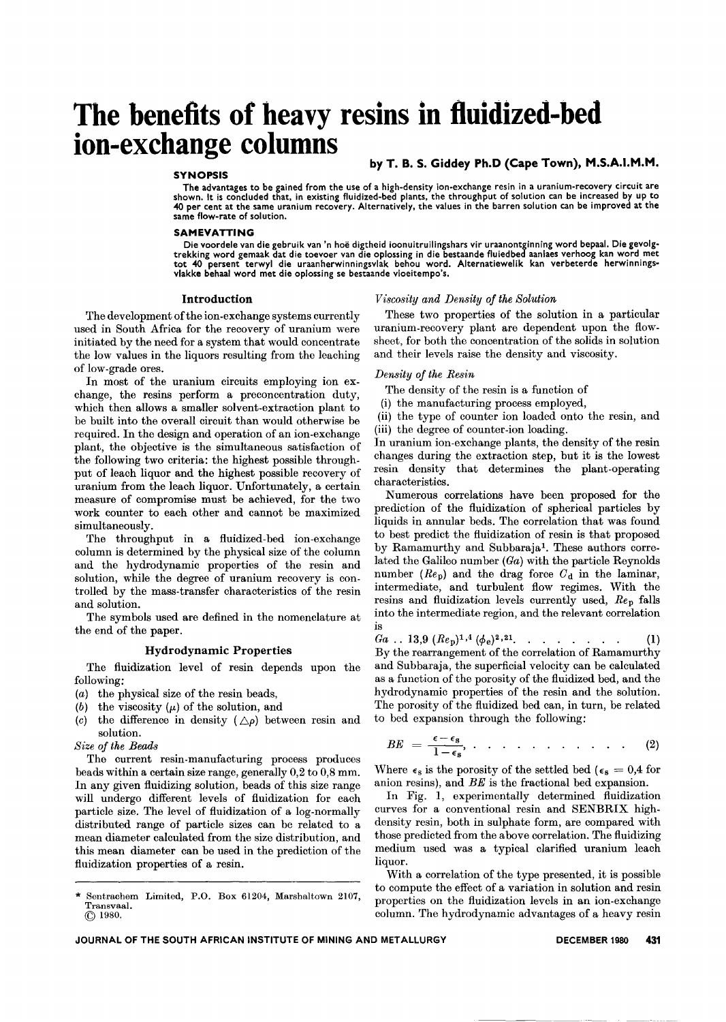# **The benefits of heavy resins in fluidized-bed ion-exchange columns**

#### **SYNOPSIS**

by T. B. S. Giddey Ph.D (Cape Town), M.S.A.I.M.M.

The advantages to be gained from the use of a high-density ion-exchange resin in a uranium-recovery circuit are<br>shown. It is concluded that, in existing fluidized-bed plants, the throughput of solution can be increased by 40 per cent at the same uranium recovery. Alternatively, the values in the barren solution can be improved at the same flow-rate of solution.

#### SAMEVATTING

Die voordele van die gebruik van 'n hoe digtheid ioonuitruilingshars vir uraanontginning word bepaal. Die gevolg-trekking word gemaak dat die toevoer van die oplossing in die bestaande fluiedbed aanlaes verhoog kan word met tot 40 persent terwyl die uraanherwinningsvlak behou word. Alternatiewelik kan verbeterde herwinning<br>vlakke behaal word met die oplossing se bestaande vloeitempo's.

#### Introduction

The development of the ion-exchange systems currently used in South Africa for the recovery of uranium were initiated by the need for a system that would concentrate the low values in the liquors resulting from the leaching of low-grade ores.

In most of the uranium circuits employing ion exchange, the resins perform a preconcentration duty, which then allows a smaller solvent-extraction plant to be built into the overall circuit than would otherwise be required. In the design and operation of an ion-exchange plant, the objective is the simultaneous satisfaction of the following two criteria: the highest possible throughput of leach liquor and the highest possible recovery of uranium from the leach liquor. Unfortunately, a certain measure of compromise must be achieved, for the two work counter to each other and cannot be maximized simultaneously.

The throughput in a fluidized-bed ion-exchange column is determined by the physical size of the column and the hydrodynamic properties of the resin and solution, while the degree of uranium recovery is controlled by the mass-transfer characteristics of the resin and solution.

The symbols used are defined in the nomenclature at the end of the paper.

#### Hydrodynamic Properties

The fluidization level of resin depends upon the following:

- *(a)* the physical size of the resin beads,
- (b) the viscosity  $(\mu)$  of the solution, and
- *(c)* the difference in density  $(\triangle \rho)$  between resin and solution.

#### *Size of the Beads*

The current resin-manufacturing process produces beads within a certain size range, generally 0,2 to 0,8 mm. In any given fluidizing solution, beads of this size range will undergo different levels of fluidization for each particle size. The level of fluidization of a log-normally distributed range of particle sizes can be related to a mean diameter calculated from the size distribution, and this mean diameter can be used in the prediction of the fluidization properties of a resin.

\* Sentrachem Limited, P.O. Box 61204, Marshaltown 2107, Transvaal. @ 1980.

#### *Viscosity and Density of the Solution*

These two properties of the solution in a particular uranium-recovery plant are dependent upon the flowsheet, for both the concentration of the solids in solution and their levels raise the density and viscosity.

#### *Density of the Resin*

The density of the resin is a function of

- (i) the manufacturing process employed,
- (ii) the type of counter ion loaded onto the resin, and (iii) the degree of counter-ion loading.

In uranium ion-exchange plants, the density of the resin changes during the extraction step, but it is the lowest resin density that determines the plant-operating characteristics.

Numerous correlations have been proposed for the prediction of the fluidization of spherical particles by liquids in annular beds. The correlation that was found to best predict the fluidization of resin is that proposed by Ramamurthy and Subbaraja1. These authors correlated the Galileo number *(Ga)* with the particle Reynolds number  $(Re<sub>p</sub>)$  and the drag force  $C<sub>d</sub>$  in the laminar, intermediate, and turbulent flow regimes. With the resins and fluidization levels currently used, *Rep* falls into the intermediate region, and the relevant correlation is

$$
Ga \ldots 13.9 (Rep)1,4 (\phie)2,21 \ldots \ldots \ldots \ldots \ldots \qquad (1)
$$

By the rearrangement of the correlation of Ramamurthy and Subbaraja, the superficial velocity can be calculated as a function of the porosity of the fluidized bed, and the hydrodynamic properties of the resin and the solution. The porosity of the fluidized bed can, in turn, be related to bed expansion through the following:

$$
BE = \frac{\epsilon - \epsilon_{\rm s}}{1 - \epsilon_{\rm s}}, \qquad \ldots \qquad \ldots \qquad (2)
$$

Where  $\epsilon_s$  is the porosity of the settled bed ( $\epsilon_s = 0.4$  for anion resins), and *BE* is the fractional bed expansion.

In Fig. 1, experimentally determined fluidization curves for a conventional resin and SENBRIX highdensity resin, both in sulphate form, are compared with those predicted from the above correlation. The fluidizing medium used was a typical clarified uranium leach liquor.

With a correlation of the type presented, it is possible to compute the effect of a variation in solution and resin properties on the fluidization levels in an ion-exchange column. The hydrodynamic advantages of a heavy resin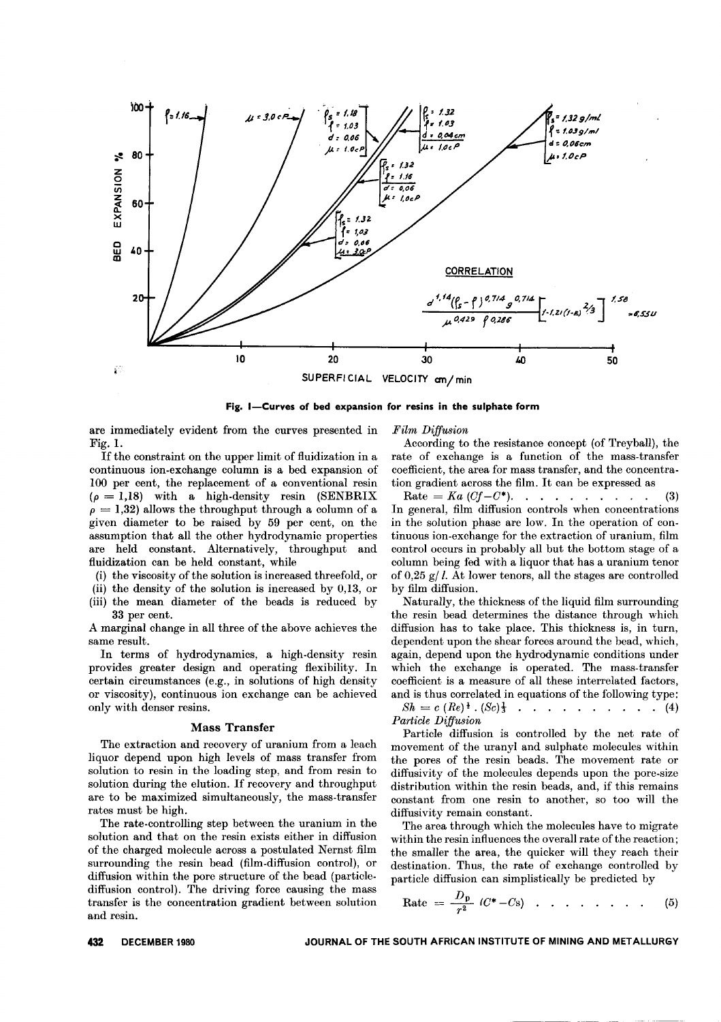

Fig. I-Curves of bed expansion for resins in the sulphate form

are immediately evident from the curves presented in Fig. 1.

If the constraint on the upper limit of fluidization in a continuous ion-exchange column is a bed expansion of 100 per cent, the replacement of a conventional resin  $(\rho = 1,18)$  with a high-density resin (SENBRIX)  $\rho = 1,32$ ) allows the throughput through a column of a given diameter to be raised by 59 per cent, on the assumption that all the other hydrodynamic properties are held constant. Alternatively, throughput and fluidization can be held constant, while

(i) the viscosity of the solution is increased threefold, or

(ii) the density of the solution is increased by  $0,13$ , or

(iii) the mean diameter of the beads is reduced by 33 per cent.

A marginal change in all three of the above achieves the same result.

In terms of hydrodynamics, a high-density resin provides greater design and operating flexibility. In certain circumstances (e.g., in solutions of high density or viscosity), continuous ion exchange can be achieved only with denser resins.

#### **Mass Transfer**

The extraction and recovery of uranium from a leach liquor depend upon high levels of mass transfer from solution to resin in the loading step, and from resin to solution during the elution. If recovery and throughput are to be maximized simultaneously, the mass-transfer rates must be high.

The rate-controlling step between the uranium in the solution and that on the resin exists either in diffusion of the charged molecule across a postulated Nernst film surrounding the resin bead (film-diffusion control), or diffusion within the pore structure of the bead (particlediffusion control). The driving force causing the mass transfer is the concentration gradient between solution and resin.

Film Diffusion

According to the resistance concept (of Treyball), the rate of exchange is a function of the mass-transfer coefficient, the area for mass transfer, and the concentration gradient across the film. It can be expressed as

Rate =  $Ka (Cf - C^*)$ . . . . . . . . .  $(3)$ In general, film diffusion controls when concentrations in the solution phase are low. In the operation of continuous ion-exchange for the extraction of uranium, film control occurs in probably all but the bottom stage of a column being fed with a liquor that has a uranium tenor of 0.25  $g/L$ . At lower tenors, all the stages are controlled by film diffusion.

Naturally, the thickness of the liquid film surrounding the resin bead determines the distance through which diffusion has to take place. This thickness is, in turn, dependent upon the shear forces around the bead, which, again, depend upon the hydrodynamic conditions under which the exchange is operated. The mass-transfer coefficient is a measure of all these interrelated factors, and is thus correlated in equations of the following type:

 $Sh = c (Re)^{\frac{1}{2}} (Sc)^{\frac{1}{3}}$  . . . . . . . . . . (4) Particle Diffusion

Particle diffusion is controlled by the net rate of movement of the uranyl and sulphate molecules within the pores of the resin beads. The movement rate or diffusivity of the molecules depends upon the pore-size distribution within the resin beads, and, if this remains constant from one resin to another, so too will the diffusivity remain constant.

The area through which the molecules have to migrate within the resin influences the overall rate of the reaction; the smaller the area, the quicker will they reach their destination. Thus, the rate of exchange controlled by particle diffusion can simplistically be predicted by

$$
Rate = \frac{D_p}{r^2} (C^* - C_s) \quad . \quad . \quad . \quad . \quad . \quad . \tag{5}
$$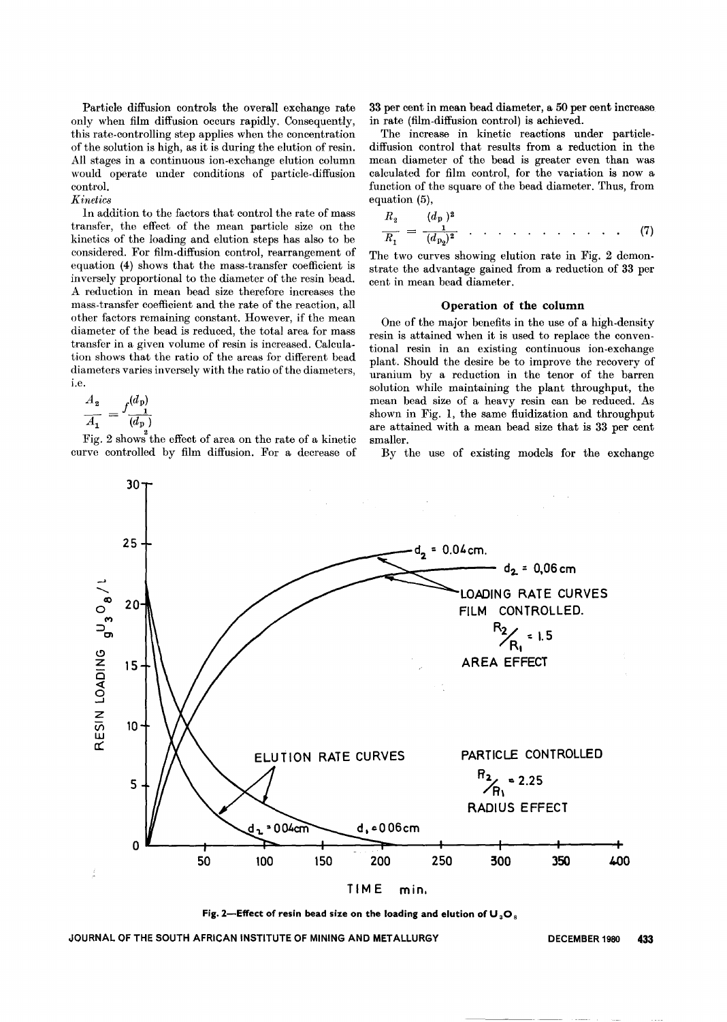Particle diffusion controls the overall exchange rate only when film diffusion occurs rapidly. Consequently, this rate-controlling step applies when the concentration of the solution is high, as it is during the elution of resin. All stages in a continuous ion-exchange elution column would operate under conditions of particle-diffusion control.

### Kinetics

In addition to the factors that control the rate of mass transfer, the effect of the mean particle size on the kinetics of the loading and elution steps has also to be considered. For film-diffusion control, rearrangement of equation (4) shows that the mass-transfer coefficient is inversely proportional to the diameter of the resin bead. A reduction in mean bead size therefore increases the mass-transfer coefficient and the rate of the reaction, all other factors remaining constant. However, if the mean diameter of the bead is reduced, the total area for mass transfer in a given volume of resin is increased. Calculation shows that the ratio of the areas for different bead diameters varies inversely with the ratio of the diameters, i.e.

$$
\frac{A_2}{A_1} = f \frac{(d_p)}{(d_p)}
$$

Fig. 2 shows the effect of area on the rate of a kinetic curve controlled by film diffusion. For a decrease of 33 per cent in mean bead diameter, a 50 per cent increase in rate (film-diffusion control) is achieved.

The increase in kinetic reactions under particlediffusion control that results from a reduction in the mean diameter of the bead is greater even than was calculated for film control, for the variation is now a function of the square of the bead diameter. Thus, from equation (5),

$$
\frac{R_2}{R_1} = \frac{(d_p)^2}{(d_{p_0})^2} \quad . \quad . \quad . \quad . \quad . \quad . \quad . \quad . \tag{7}
$$

The two curves showing elution rate in Fig. 2 demonstrate the advantage gained from a reduction of 33 per cent in mean bead diameter.

#### Operation of the column

One of the major benefits in the use of a high-density resin is attained when it is used to replace the conventional resin in an existing continuous ion-exchange plant. Should the desire be to improve the recovery of uranium by a reduction in the tenor of the barren solution while maintaining the plant throughput, the mean bead size of a heavy resin can be reduced. As shown in Fig. 1, the same fluidization and throughput are attained with a mean bead size that is 33 per cent smaller.

By the use of existing models for the exchange



Fig. 2-Effect of resin bead size on the loading and elution of  $U_3O_8$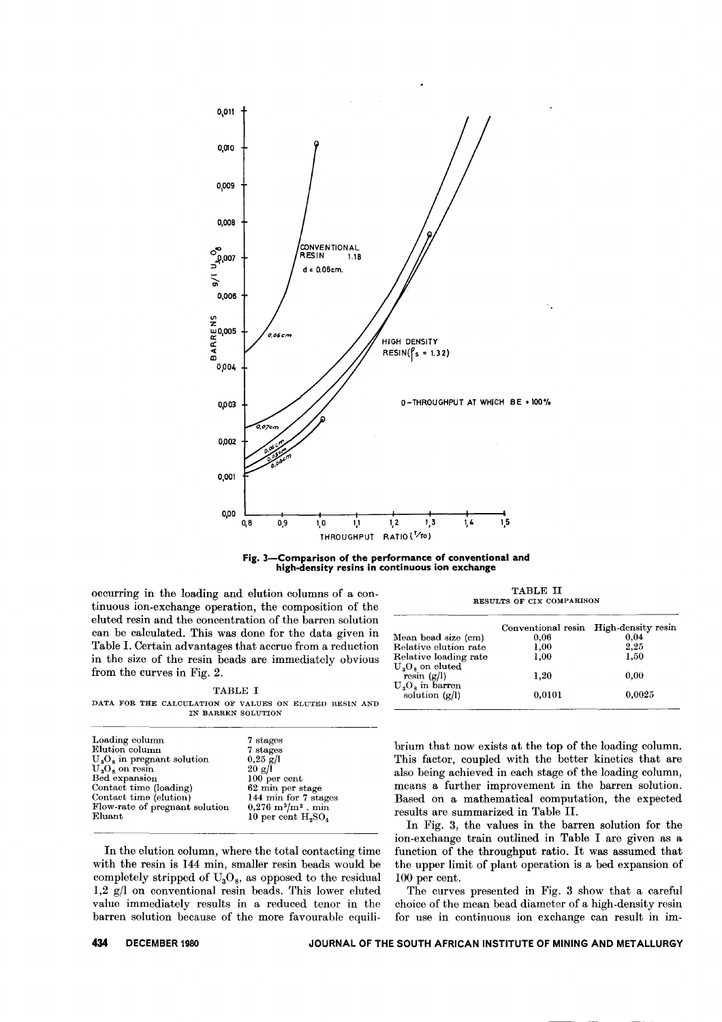



occurring in the loading and elution columns of a continuous ion-exchange operation, the composition of the eluted resin and the concentration of the barren solution can be calculated. This was done for the data given in Table 1. Certain advantages that accrue from a reduction in the size of the resin beads are immediately obvious from the curves in Fig. 2.

|--|--|

DATA FOR THE CALCULATION OF VALUES ON ELUTED RESIN AND IN BARREN SOLUTION

| Loading column                                  | 7 stages                           |
|-------------------------------------------------|------------------------------------|
| Elution column                                  | 7 stages                           |
| $\mathrm{U}_3\mathrm{O}_8$ in pregnant solution | $0.25$ g/l                         |
| $UsOs$ on resin                                 | 20 g/l                             |
| Bed expansion                                   | $100$ per cent                     |
| Contact time (loading)                          | 62 min per stage                   |
| Contact time (elution)                          | 144 min for 7 stages               |
| Flow-rate of pregnant solution                  | $0,276 \; \rm{m}^3/\rm{m}^2$ , min |
| Eluant                                          | 10 per cent $H_{2}SO_{4}$          |
|                                                 |                                    |

In the elution column, where the total contacting time with the resin is 144 min, smaller resin beads would be completely stripped of  $U_3O_8$ , as opposed to the residual  $1,2 \text{ g/l}$  on conventional resin beads. This lower eluted value immediately results in a reduced tenor in the barren solution because of the more favourable equili-

TABLE 11 RESULTS OF CIX COMPARISON

|                                   | Conventional resin | High density resin |
|-----------------------------------|--------------------|--------------------|
| Mean bead size (cm)               | 0.06               | 0.04               |
| Relative elution rate             | 1.00               | 2.25               |
| Relative loading rate             | 1.00               | 1,50               |
|                                   |                    |                    |
| $U_3O_8$ on eluted<br>resin (g/l) | 1.20               | 0.00               |
| $U_3O_8$ in barren                |                    |                    |
| solution $(g/l)$                  | 0.0101             | 0.0025             |
|                                   |                    |                    |

brium that now exists at the top of the loading column. This factor, coupled with the better kinetics that are also being achieved in each stage of the loading column, means a further improvement in the barren solution. Based on a mathematical computation, the expected results are summarized in Table H.

In Fig. 3, the values in the barren solution for the ion-exchange train outlined in Table I are given as a function of the throughput ratio. It was assumed that the upper limit of plant operation is a bed expansion of lOO per cent.

The curves presented in Fig. 3 show that a careful choice of the mean bead diameter of a high-density resin for use in continuous ion exchange can result in im